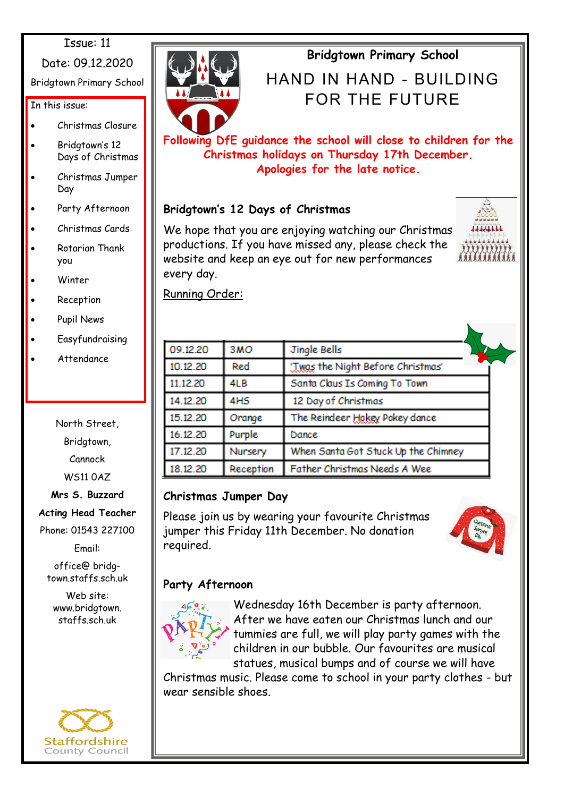#### Issue: 11

Date: 09.12.2020

Bridgtown Primary School

In this issue:

- Christmas Closure
- Bridgtown's 12 Days of Christmas
- Christmas Jumper Day
- Party Afternoon
- Christmas Cards
- Rotarian Thank you
- Winter
- **Reception**
- Pupil News
- **Easyfundraising**
- Attendance

North Street, Bridgtown, Cannock WS11 0AZ

**Mrs S. Buzzard**

**Acting Head Teacher**

Phone: 01543 227100

Email:

office@ bridgtown.staffs.sch.uk

Web site: www.bridgtown. staffs.sch.uk





# **Bridgtown Primary School**

# HAND IN HAND - BIJII DING FOR THE FUTURE

**Following DfE guidance the school will close to children for the Christmas holidays on Thursday 17th December. Apologies for the late notice.** 

# **Bridgtown's 12 Days of Christmas**

We hope that you are enjoying watching our Christmas productions. If you have missed any, please check the website and keep an eye out for new performances every day.



Running Order:

| 09.12.20 | 3MO             | Jingle Bells                        |  |
|----------|-----------------|-------------------------------------|--|
| 10.12.20 | Red             | 'Twas the Night Before Christmas'   |  |
| 11.12.20 | 4LB             | Santa Claus Is Coming To Town       |  |
| 14.12.20 | 4H <sub>S</sub> | 12 Day of Christmas                 |  |
| 15.12.20 | Orange          | The Reindeer Hokey Pokey dance      |  |
| 16.12.20 | Purple          | Dance                               |  |
| 17.12.20 | Nursery         | When Santa Got Stuck Up the Chimney |  |
| 18.12.20 | Reception       | Father Christmas Needs A Wee        |  |

## **Christmas Jumper Day**

Please join us by wearing your favourite Christmas jumper this Friday 11th December. No donation required.



# **Party Afternoon**



Wednesday 16th December is party afternoon. After we have eaten our Christmas lunch and our tummies are full, we will play party games with the children in our bubble. Our favourites are musical statues, musical bumps and of course we will have

Christmas music. Please come to school in your party clothes - but wear sensible shoes.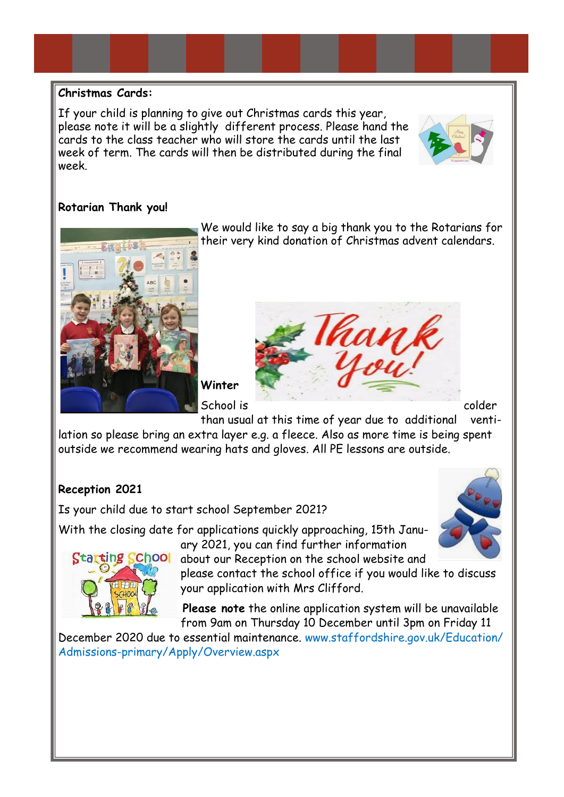#### **Christmas Cards:**

If your child is planning to give out Christmas cards this year, please note it will be a slightly different process. Please hand the cards to the class teacher who will store the cards until the last week of term. The cards will then be distributed during the final week.

### **Rotarian Thank you!**



We would like to say a big thank you to the Rotarians for their very kind donation of Christmas advent calendars.





than usual at this time of year due to additional ventilation so please bring an extra layer e.g. a fleece. Also as more time is being spent outside we recommend wearing hats and gloves. All PE lessons are outside.

## **Reception 2021**

Is your child due to start school September 2021?

With the closing date for applications quickly approaching, 15th January 2021, you can find further information



about our Reception on the school website and please contact the school office if you would like to discuss your application with Mrs Clifford.

**Please note** the online application system will be unavailable from 9am on Thursday 10 December until 3pm on Friday 11

December 2020 due to essential maintenance. www.staffordshire.gov.uk/Education/ Admissions-primary/Apply/Overview.aspx